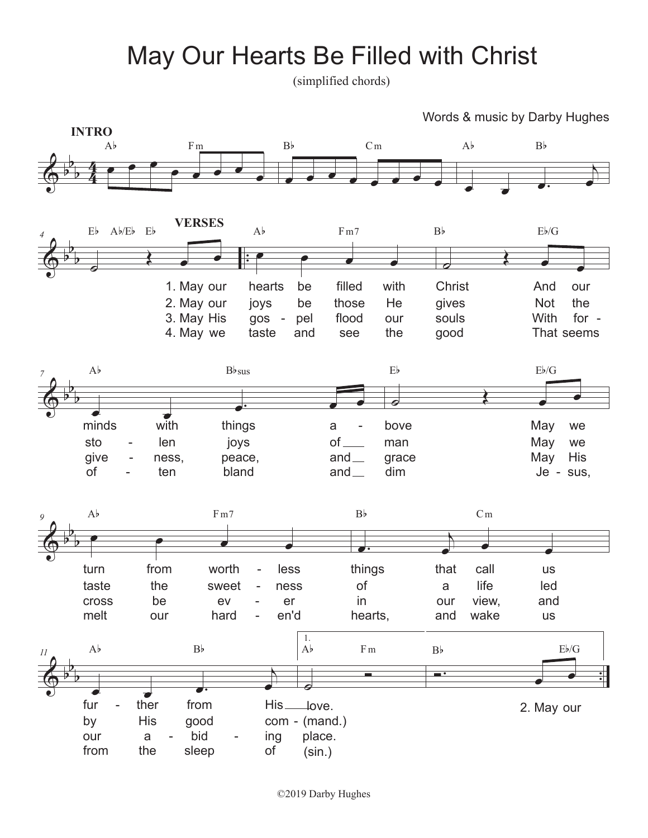## May Our Hearts Be Filled with Christ

(simplified chords)